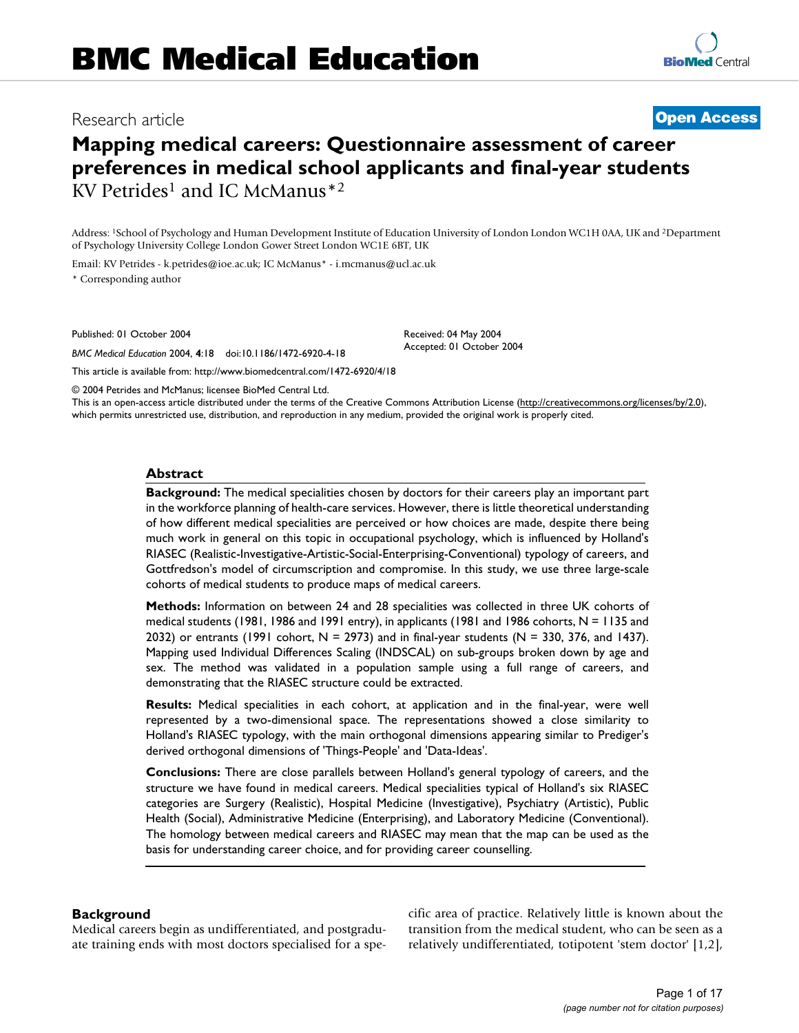### Research article **[Open Access](http://www.biomedcentral.com/info/about/charter/)**

**[BioMed](http://www.biomedcentral.com/)** Central

### **Mapping medical careers: Questionnaire assessment of career preferences in medical school applicants and final-year students** KV Petrides1 and IC McManus\*2

Address: 1School of Psychology and Human Development Institute of Education University of London London WC1H 0AA, UK and 2Department of Psychology University College London Gower Street London WC1E 6BT, UK

> Received: 04 May 2004 Accepted: 01 October 2004

Email: KV Petrides - k.petrides@ioe.ac.uk; IC McManus\* - i.mcmanus@ucl.ac.uk \* Corresponding author

Published: 01 October 2004

*BMC Medical Education* 2004, **4**:18 doi:10.1186/1472-6920-4-18

[This article is available from: http://www.biomedcentral.com/1472-6920/4/18](http://www.biomedcentral.com/1472-6920/4/18)

© 2004 Petrides and McManus; licensee BioMed Central Ltd.

This is an open-access article distributed under the terms of the Creative Commons Attribution License (<http://creativecommons.org/licenses/by/2.0>), which permits unrestricted use, distribution, and reproduction in any medium, provided the original work is properly cited.

#### **Abstract**

**Background:** The medical specialities chosen by doctors for their careers play an important part in the workforce planning of health-care services. However, there is little theoretical understanding of how different medical specialities are perceived or how choices are made, despite there being much work in general on this topic in occupational psychology, which is influenced by Holland's RIASEC (Realistic-Investigative-Artistic-Social-Enterprising-Conventional) typology of careers, and Gottfredson's model of circumscription and compromise. In this study, we use three large-scale cohorts of medical students to produce maps of medical careers.

**Methods:** Information on between 24 and 28 specialities was collected in three UK cohorts of medical students (1981, 1986 and 1991 entry), in applicants (1981 and 1986 cohorts, N = 1135 and 2032) or entrants (1991 cohort,  $N = 2973$ ) and in final-year students ( $N = 330$ , 376, and 1437). Mapping used Individual Differences Scaling (INDSCAL) on sub-groups broken down by age and sex. The method was validated in a population sample using a full range of careers, and demonstrating that the RIASEC structure could be extracted.

**Results:** Medical specialities in each cohort, at application and in the final-year, were well represented by a two-dimensional space. The representations showed a close similarity to Holland's RIASEC typology, with the main orthogonal dimensions appearing similar to Prediger's derived orthogonal dimensions of 'Things-People' and 'Data-Ideas'.

**Conclusions:** There are close parallels between Holland's general typology of careers, and the structure we have found in medical careers. Medical specialities typical of Holland's six RIASEC categories are Surgery (Realistic), Hospital Medicine (Investigative), Psychiatry (Artistic), Public Health (Social), Administrative Medicine (Enterprising), and Laboratory Medicine (Conventional). The homology between medical careers and RIASEC may mean that the map can be used as the basis for understanding career choice, and for providing career counselling.

#### **Background**

Medical careers begin as undifferentiated, and postgraduate training ends with most doctors specialised for a specific area of practice. Relatively little is known about the transition from the medical student, who can be seen as a relatively undifferentiated, totipotent 'stem doctor' [1,2],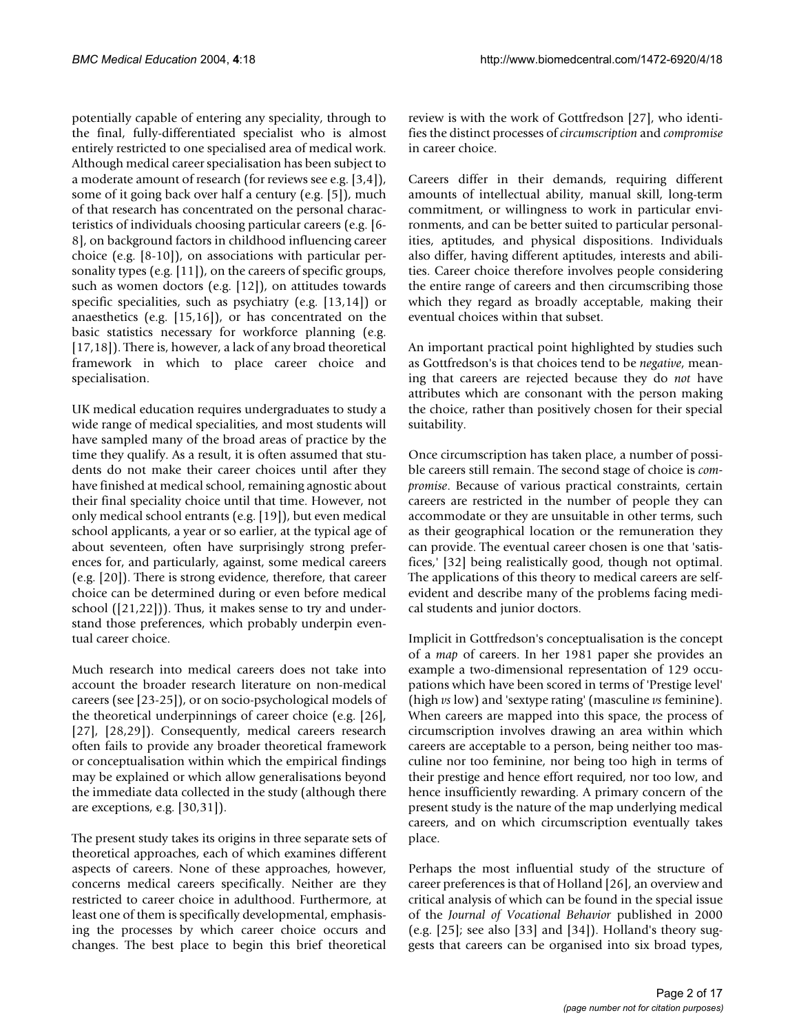potentially capable of entering any speciality, through to the final, fully-differentiated specialist who is almost entirely restricted to one specialised area of medical work. Although medical career specialisation has been subject to a moderate amount of research (for reviews see e.g. [3,4]), some of it going back over half a century (e.g. [5]), much of that research has concentrated on the personal characteristics of individuals choosing particular careers (e.g. [6- 8], on background factors in childhood influencing career choice (e.g. [8-10]), on associations with particular personality types (e.g. [11]), on the careers of specific groups, such as women doctors (e.g. [12]), on attitudes towards specific specialities, such as psychiatry (e.g. [13,14]) or anaesthetics (e.g. [15,16]), or has concentrated on the basic statistics necessary for workforce planning (e.g. [17,18]). There is, however, a lack of any broad theoretical framework in which to place career choice and specialisation.

UK medical education requires undergraduates to study a wide range of medical specialities, and most students will have sampled many of the broad areas of practice by the time they qualify. As a result, it is often assumed that students do not make their career choices until after they have finished at medical school, remaining agnostic about their final speciality choice until that time. However, not only medical school entrants (e.g. [19]), but even medical school applicants, a year or so earlier, at the typical age of about seventeen, often have surprisingly strong preferences for, and particularly, against, some medical careers (e.g. [20]). There is strong evidence, therefore, that career choice can be determined during or even before medical school ([21,22])). Thus, it makes sense to try and understand those preferences, which probably underpin eventual career choice.

Much research into medical careers does not take into account the broader research literature on non-medical careers (see [23-25]), or on socio-psychological models of the theoretical underpinnings of career choice (e.g. [26], [27], [28,29]). Consequently, medical careers research often fails to provide any broader theoretical framework or conceptualisation within which the empirical findings may be explained or which allow generalisations beyond the immediate data collected in the study (although there are exceptions, e.g. [30,31]).

The present study takes its origins in three separate sets of theoretical approaches, each of which examines different aspects of careers. None of these approaches, however, concerns medical careers specifically. Neither are they restricted to career choice in adulthood. Furthermore, at least one of them is specifically developmental, emphasising the processes by which career choice occurs and changes. The best place to begin this brief theoretical

review is with the work of Gottfredson [27], who identifies the distinct processes of *circumscription* and *compromise* in career choice.

Careers differ in their demands, requiring different amounts of intellectual ability, manual skill, long-term commitment, or willingness to work in particular environments, and can be better suited to particular personalities, aptitudes, and physical dispositions. Individuals also differ, having different aptitudes, interests and abilities. Career choice therefore involves people considering the entire range of careers and then circumscribing those which they regard as broadly acceptable, making their eventual choices within that subset.

An important practical point highlighted by studies such as Gottfredson's is that choices tend to be *negative*, meaning that careers are rejected because they do *not* have attributes which are consonant with the person making the choice, rather than positively chosen for their special suitability.

Once circumscription has taken place, a number of possible careers still remain. The second stage of choice is *compromise*. Because of various practical constraints, certain careers are restricted in the number of people they can accommodate or they are unsuitable in other terms, such as their geographical location or the remuneration they can provide. The eventual career chosen is one that 'satisfices,' [32] being realistically good, though not optimal. The applications of this theory to medical careers are selfevident and describe many of the problems facing medical students and junior doctors.

Implicit in Gottfredson's conceptualisation is the concept of a *map* of careers. In her 1981 paper she provides an example a two-dimensional representation of 129 occupations which have been scored in terms of 'Prestige level' (high *vs* low) and 'sextype rating' (masculine *vs* feminine). When careers are mapped into this space, the process of circumscription involves drawing an area within which careers are acceptable to a person, being neither too masculine nor too feminine, nor being too high in terms of their prestige and hence effort required, nor too low, and hence insufficiently rewarding. A primary concern of the present study is the nature of the map underlying medical careers, and on which circumscription eventually takes place.

Perhaps the most influential study of the structure of career preferences is that of Holland [26], an overview and critical analysis of which can be found in the special issue of the *Journal of Vocational Behavior* published in 2000 (e.g. [25]; see also [33] and [34]). Holland's theory suggests that careers can be organised into six broad types,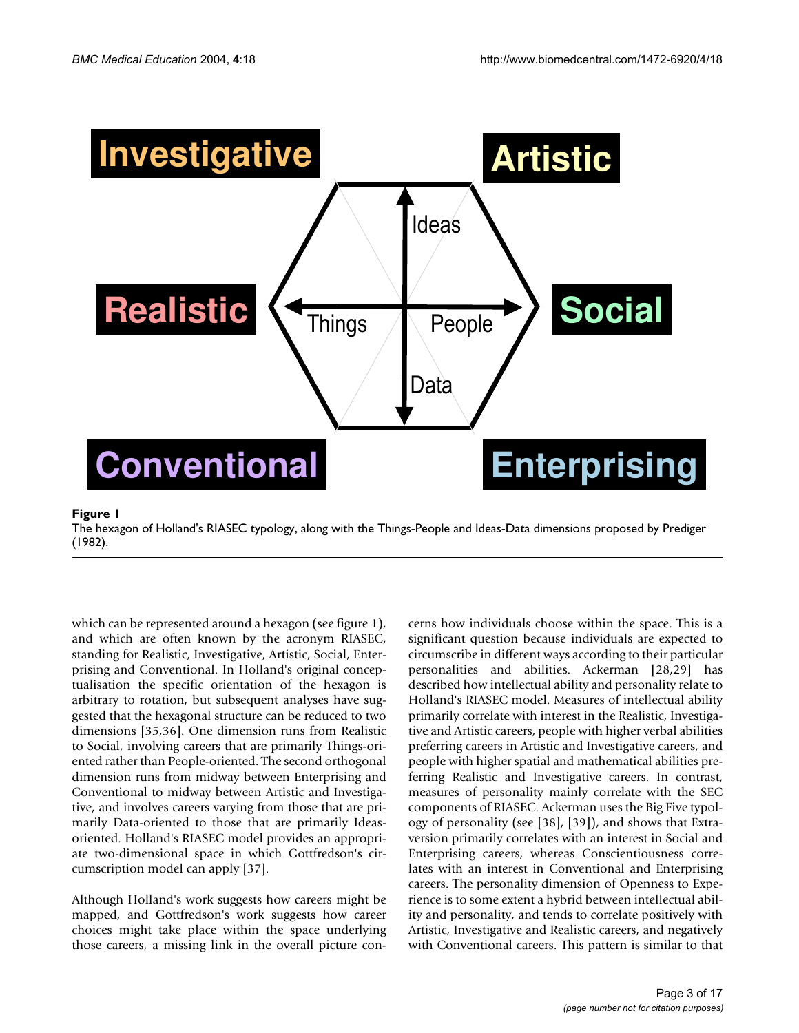

The hexagon of Holland's RIASEC typology, along with the Things-People and Ideas-Data dimensions proposed by Prediger (1982).

which can be represented around a hexagon (see figure 1), and which are often known by the acronym RIASEC, standing for Realistic, Investigative, Artistic, Social, Enterprising and Conventional. In Holland's original conceptualisation the specific orientation of the hexagon is arbitrary to rotation, but subsequent analyses have suggested that the hexagonal structure can be reduced to two dimensions [35,36]. One dimension runs from Realistic to Social, involving careers that are primarily Things-oriented rather than People-oriented. The second orthogonal dimension runs from midway between Enterprising and Conventional to midway between Artistic and Investigative, and involves careers varying from those that are primarily Data-oriented to those that are primarily Ideasoriented. Holland's RIASEC model provides an appropriate two-dimensional space in which Gottfredson's circumscription model can apply [37].

Although Holland's work suggests how careers might be mapped, and Gottfredson's work suggests how career choices might take place within the space underlying those careers, a missing link in the overall picture concerns how individuals choose within the space. This is a significant question because individuals are expected to circumscribe in different ways according to their particular personalities and abilities. Ackerman [28,29] has described how intellectual ability and personality relate to Holland's RIASEC model. Measures of intellectual ability primarily correlate with interest in the Realistic, Investigative and Artistic careers, people with higher verbal abilities preferring careers in Artistic and Investigative careers, and people with higher spatial and mathematical abilities preferring Realistic and Investigative careers. In contrast, measures of personality mainly correlate with the SEC components of RIASEC. Ackerman uses the Big Five typology of personality (see [38], [39]), and shows that Extraversion primarily correlates with an interest in Social and Enterprising careers, whereas Conscientiousness correlates with an interest in Conventional and Enterprising careers. The personality dimension of Openness to Experience is to some extent a hybrid between intellectual ability and personality, and tends to correlate positively with Artistic, Investigative and Realistic careers, and negatively with Conventional careers. This pattern is similar to that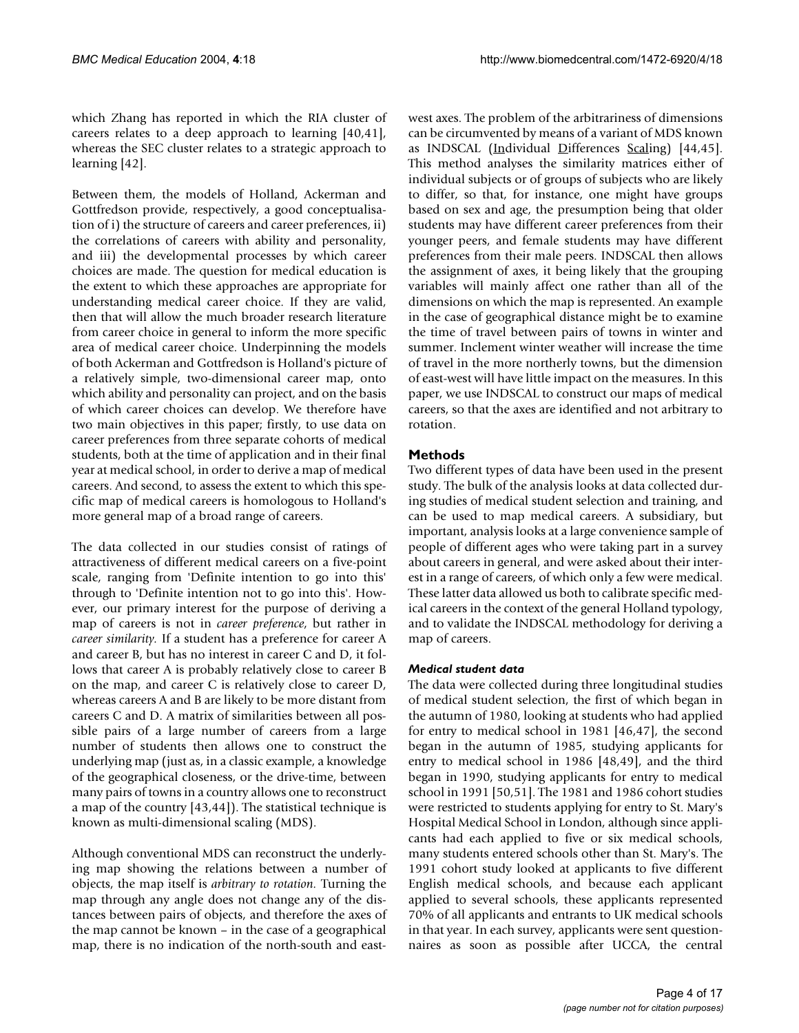which Zhang has reported in which the RIA cluster of careers relates to a deep approach to learning [40,41], whereas the SEC cluster relates to a strategic approach to learning [42].

Between them, the models of Holland, Ackerman and Gottfredson provide, respectively, a good conceptualisation of i) the structure of careers and career preferences, ii) the correlations of careers with ability and personality, and iii) the developmental processes by which career choices are made. The question for medical education is the extent to which these approaches are appropriate for understanding medical career choice. If they are valid, then that will allow the much broader research literature from career choice in general to inform the more specific area of medical career choice. Underpinning the models of both Ackerman and Gottfredson is Holland's picture of a relatively simple, two-dimensional career map, onto which ability and personality can project, and on the basis of which career choices can develop. We therefore have two main objectives in this paper; firstly, to use data on career preferences from three separate cohorts of medical students, both at the time of application and in their final year at medical school, in order to derive a map of medical careers. And second, to assess the extent to which this specific map of medical careers is homologous to Holland's more general map of a broad range of careers.

The data collected in our studies consist of ratings of attractiveness of different medical careers on a five-point scale, ranging from 'Definite intention to go into this' through to 'Definite intention not to go into this'. However, our primary interest for the purpose of deriving a map of careers is not in *career preference*, but rather in *career similarity.* If a student has a preference for career A and career B, but has no interest in career C and D, it follows that career A is probably relatively close to career B on the map, and career C is relatively close to career D, whereas careers A and B are likely to be more distant from careers C and D. A matrix of similarities between all possible pairs of a large number of careers from a large number of students then allows one to construct the underlying map (just as, in a classic example, a knowledge of the geographical closeness, or the drive-time, between many pairs of towns in a country allows one to reconstruct a map of the country [43,44]). The statistical technique is known as multi-dimensional scaling (MDS).

Although conventional MDS can reconstruct the underlying map showing the relations between a number of objects, the map itself is *arbitrary to rotation.* Turning the map through any angle does not change any of the distances between pairs of objects, and therefore the axes of the map cannot be known – in the case of a geographical map, there is no indication of the north-south and eastwest axes. The problem of the arbitrariness of dimensions can be circumvented by means of a variant of MDS known as INDSCAL (Individual Differences Scaling) [44,45]. This method analyses the similarity matrices either of individual subjects or of groups of subjects who are likely to differ, so that, for instance, one might have groups based on sex and age, the presumption being that older students may have different career preferences from their younger peers, and female students may have different preferences from their male peers. INDSCAL then allows the assignment of axes, it being likely that the grouping variables will mainly affect one rather than all of the dimensions on which the map is represented. An example in the case of geographical distance might be to examine the time of travel between pairs of towns in winter and summer. Inclement winter weather will increase the time of travel in the more northerly towns, but the dimension of east-west will have little impact on the measures. In this paper, we use INDSCAL to construct our maps of medical careers, so that the axes are identified and not arbitrary to rotation.

#### **Methods**

Two different types of data have been used in the present study. The bulk of the analysis looks at data collected during studies of medical student selection and training, and can be used to map medical careers. A subsidiary, but important, analysis looks at a large convenience sample of people of different ages who were taking part in a survey about careers in general, and were asked about their interest in a range of careers, of which only a few were medical. These latter data allowed us both to calibrate specific medical careers in the context of the general Holland typology, and to validate the INDSCAL methodology for deriving a map of careers.

#### *Medical student data*

The data were collected during three longitudinal studies of medical student selection, the first of which began in the autumn of 1980, looking at students who had applied for entry to medical school in 1981 [46,47], the second began in the autumn of 1985, studying applicants for entry to medical school in 1986 [48,49], and the third began in 1990, studying applicants for entry to medical school in 1991 [50,51]. The 1981 and 1986 cohort studies were restricted to students applying for entry to St. Mary's Hospital Medical School in London, although since applicants had each applied to five or six medical schools, many students entered schools other than St. Mary's. The 1991 cohort study looked at applicants to five different English medical schools, and because each applicant applied to several schools, these applicants represented 70% of all applicants and entrants to UK medical schools in that year. In each survey, applicants were sent questionnaires as soon as possible after UCCA, the central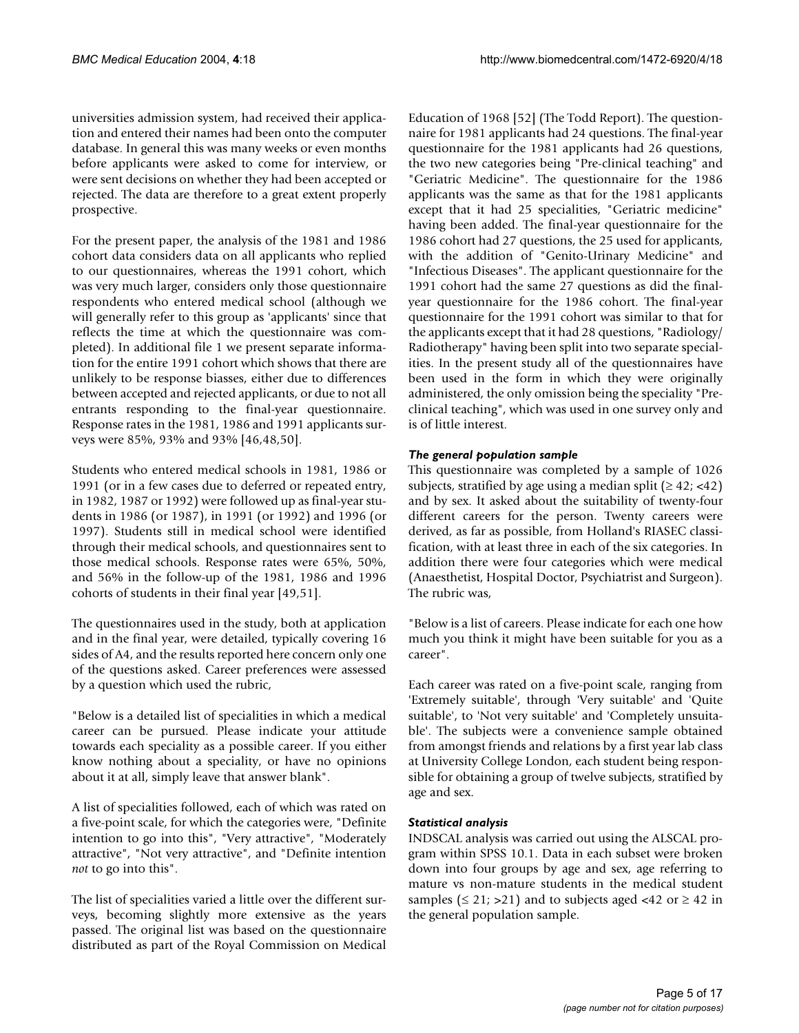universities admission system, had received their application and entered their names had been onto the computer database. In general this was many weeks or even months before applicants were asked to come for interview, or were sent decisions on whether they had been accepted or rejected. The data are therefore to a great extent properly prospective.

For the present paper, the analysis of the 1981 and 1986 cohort data considers data on all applicants who replied to our questionnaires, whereas the 1991 cohort, which was very much larger, considers only those questionnaire respondents who entered medical school (although we will generally refer to this group as 'applicants' since that reflects the time at which the questionnaire was completed). In additional file 1 we present separate information for the entire 1991 cohort which shows that there are unlikely to be response biasses, either due to differences between accepted and rejected applicants, or due to not all entrants responding to the final-year questionnaire. Response rates in the 1981, 1986 and 1991 applicants surveys were 85%, 93% and 93% [46,48,50].

Students who entered medical schools in 1981, 1986 or 1991 (or in a few cases due to deferred or repeated entry, in 1982, 1987 or 1992) were followed up as final-year students in 1986 (or 1987), in 1991 (or 1992) and 1996 (or 1997). Students still in medical school were identified through their medical schools, and questionnaires sent to those medical schools. Response rates were 65%, 50%, and 56% in the follow-up of the 1981, 1986 and 1996 cohorts of students in their final year [49,51].

The questionnaires used in the study, both at application and in the final year, were detailed, typically covering 16 sides of A4, and the results reported here concern only one of the questions asked. Career preferences were assessed by a question which used the rubric,

"Below is a detailed list of specialities in which a medical career can be pursued. Please indicate your attitude towards each speciality as a possible career. If you either know nothing about a speciality, or have no opinions about it at all, simply leave that answer blank".

A list of specialities followed, each of which was rated on a five-point scale, for which the categories were, "Definite intention to go into this", "Very attractive", "Moderately attractive", "Not very attractive", and "Definite intention *not* to go into this".

The list of specialities varied a little over the different surveys, becoming slightly more extensive as the years passed. The original list was based on the questionnaire distributed as part of the Royal Commission on Medical

Education of 1968 [52] (The Todd Report). The questionnaire for 1981 applicants had 24 questions. The final-year questionnaire for the 1981 applicants had 26 questions, the two new categories being "Pre-clinical teaching" and "Geriatric Medicine". The questionnaire for the 1986 applicants was the same as that for the 1981 applicants except that it had 25 specialities, "Geriatric medicine" having been added. The final-year questionnaire for the 1986 cohort had 27 questions, the 25 used for applicants, with the addition of "Genito-Urinary Medicine" and "Infectious Diseases". The applicant questionnaire for the 1991 cohort had the same 27 questions as did the finalyear questionnaire for the 1986 cohort. The final-year questionnaire for the 1991 cohort was similar to that for the applicants except that it had 28 questions, "Radiology/ Radiotherapy" having been split into two separate specialities. In the present study all of the questionnaires have been used in the form in which they were originally administered, the only omission being the speciality "Preclinical teaching", which was used in one survey only and is of little interest.

#### *The general population sample*

This questionnaire was completed by a sample of 1026 subjects, stratified by age using a median split  $(≥ 42; < 42)$ and by sex. It asked about the suitability of twenty-four different careers for the person. Twenty careers were derived, as far as possible, from Holland's RIASEC classification, with at least three in each of the six categories. In addition there were four categories which were medical (Anaesthetist, Hospital Doctor, Psychiatrist and Surgeon). The rubric was,

"Below is a list of careers. Please indicate for each one how much you think it might have been suitable for you as a career".

Each career was rated on a five-point scale, ranging from 'Extremely suitable', through 'Very suitable' and 'Quite suitable', to 'Not very suitable' and 'Completely unsuitable'. The subjects were a convenience sample obtained from amongst friends and relations by a first year lab class at University College London, each student being responsible for obtaining a group of twelve subjects, stratified by age and sex.

#### *Statistical analysis*

INDSCAL analysis was carried out using the ALSCAL program within SPSS 10.1. Data in each subset were broken down into four groups by age and sex, age referring to mature vs non-mature students in the medical student samples ( $\leq$  21; > 21) and to subjects aged <42 or  $\geq$  42 in the general population sample.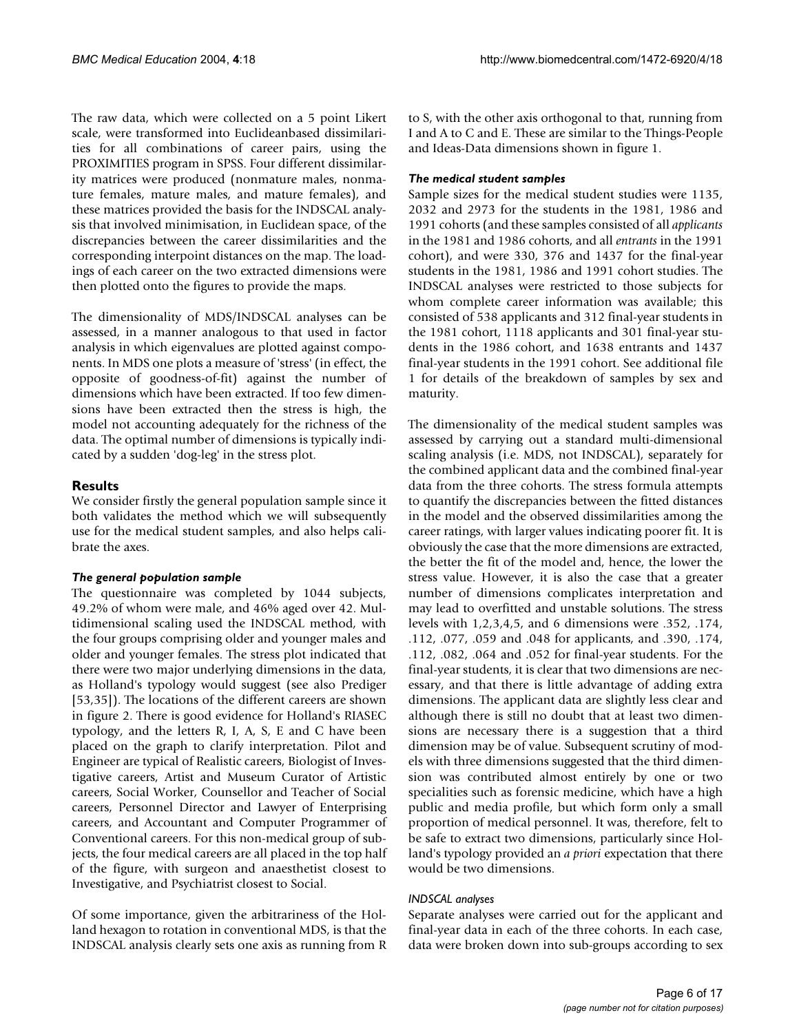The raw data, which were collected on a 5 point Likert scale, were transformed into Euclideanbased dissimilarities for all combinations of career pairs, using the PROXIMITIES program in SPSS. Four different dissimilarity matrices were produced (nonmature males, nonmature females, mature males, and mature females), and these matrices provided the basis for the INDSCAL analysis that involved minimisation, in Euclidean space, of the discrepancies between the career dissimilarities and the corresponding interpoint distances on the map. The loadings of each career on the two extracted dimensions were then plotted onto the figures to provide the maps.

The dimensionality of MDS/INDSCAL analyses can be assessed, in a manner analogous to that used in factor analysis in which eigenvalues are plotted against components. In MDS one plots a measure of 'stress' (in effect, the opposite of goodness-of-fit) against the number of dimensions which have been extracted. If too few dimensions have been extracted then the stress is high, the model not accounting adequately for the richness of the data. The optimal number of dimensions is typically indicated by a sudden 'dog-leg' in the stress plot.

#### **Results**

We consider firstly the general population sample since it both validates the method which we will subsequently use for the medical student samples, and also helps calibrate the axes.

#### *The general population sample*

The questionnaire was completed by 1044 subjects, 49.2% of whom were male, and 46% aged over 42. Multidimensional scaling used the INDSCAL method, with the four groups comprising older and younger males and older and younger females. The stress plot indicated that there were two major underlying dimensions in the data, as Holland's typology would suggest (see also Prediger [53,35]). The locations of the different careers are shown in figure [2](#page-6-0). There is good evidence for Holland's RIASEC typology, and the letters R, I, A, S, E and C have been placed on the graph to clarify interpretation. Pilot and Engineer are typical of Realistic careers, Biologist of Investigative careers, Artist and Museum Curator of Artistic careers, Social Worker, Counsellor and Teacher of Social careers, Personnel Director and Lawyer of Enterprising careers, and Accountant and Computer Programmer of Conventional careers. For this non-medical group of subjects, the four medical careers are all placed in the top half of the figure, with surgeon and anaesthetist closest to Investigative, and Psychiatrist closest to Social.

Of some importance, given the arbitrariness of the Holland hexagon to rotation in conventional MDS, is that the INDSCAL analysis clearly sets one axis as running from R to S, with the other axis orthogonal to that, running from I and A to C and E. These are similar to the Things-People and Ideas-Data dimensions shown in figure 1.

#### *The medical student samples*

Sample sizes for the medical student studies were 1135, 2032 and 2973 for the students in the 1981, 1986 and 1991 cohorts (and these samples consisted of all *applicants* in the 1981 and 1986 cohorts, and all *entrants* in the 1991 cohort), and were 330, 376 and 1437 for the final-year students in the 1981, 1986 and 1991 cohort studies. The INDSCAL analyses were restricted to those subjects for whom complete career information was available; this consisted of 538 applicants and 312 final-year students in the 1981 cohort, 1118 applicants and 301 final-year students in the 1986 cohort, and 1638 entrants and 1437 final-year students in the 1991 cohort. See additional file 1 for details of the breakdown of samples by sex and maturity.

The dimensionality of the medical student samples was assessed by carrying out a standard multi-dimensional scaling analysis (i.e. MDS, not INDSCAL), separately for the combined applicant data and the combined final-year data from the three cohorts. The stress formula attempts to quantify the discrepancies between the fitted distances in the model and the observed dissimilarities among the career ratings, with larger values indicating poorer fit. It is obviously the case that the more dimensions are extracted, the better the fit of the model and, hence, the lower the stress value. However, it is also the case that a greater number of dimensions complicates interpretation and may lead to overfitted and unstable solutions. The stress levels with 1,2,3,4,5, and 6 dimensions were .352, .174, .112, .077, .059 and .048 for applicants, and .390, .174, .112, .082, .064 and .052 for final-year students. For the final-year students, it is clear that two dimensions are necessary, and that there is little advantage of adding extra dimensions. The applicant data are slightly less clear and although there is still no doubt that at least two dimensions are necessary there is a suggestion that a third dimension may be of value. Subsequent scrutiny of models with three dimensions suggested that the third dimension was contributed almost entirely by one or two specialities such as forensic medicine, which have a high public and media profile, but which form only a small proportion of medical personnel. It was, therefore, felt to be safe to extract two dimensions, particularly since Holland's typology provided an *a priori* expectation that there would be two dimensions.

#### *INDSCAL analyses*

Separate analyses were carried out for the applicant and final-year data in each of the three cohorts. In each case, data were broken down into sub-groups according to sex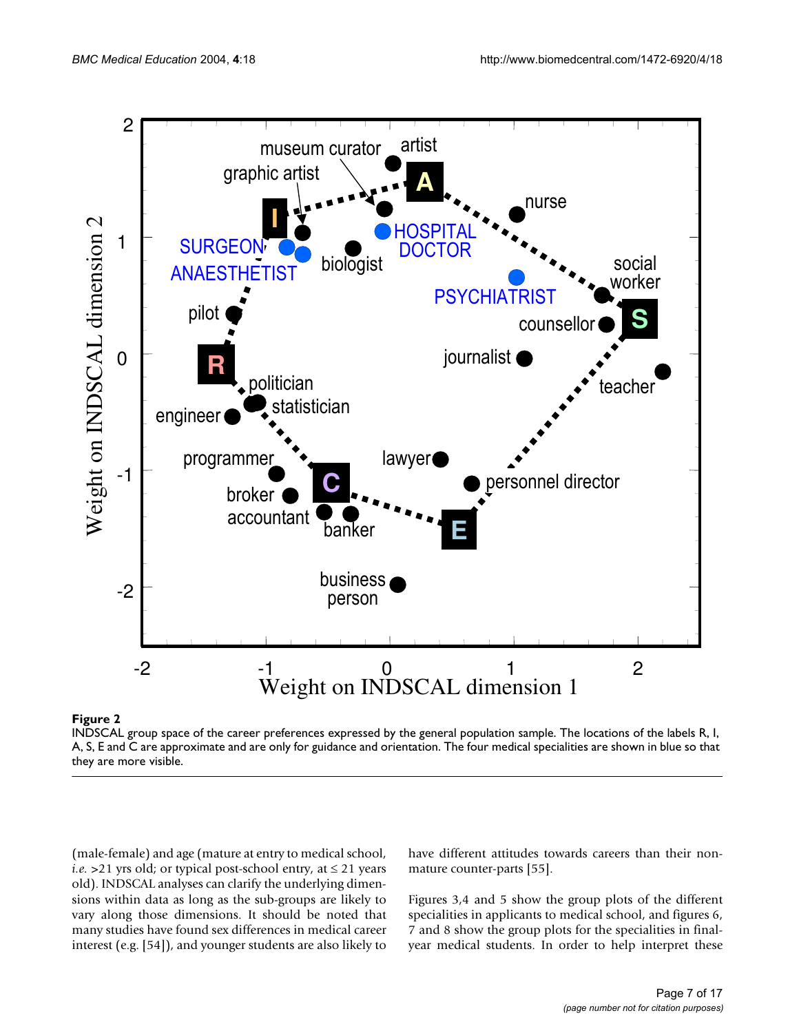<span id="page-6-0"></span>

#### Indian group space of the career preference  $\mathbf{z}$  s expressed by the general population samples of the general population samples of the general population samples of the general population samples of the general popula

INDSCAL group space of the career preferences expressed by the general population sample. The locations of the labels R, I, A, S, E and C are approximate and are only for guidance and orientation. The four medical specialities are shown in blue so that they are more visible.

(male-female) and age (mature at entry to medical school, *i.e.*  $>21$  yrs old; or typical post-school entry, at  $\leq 21$  years old). INDSCAL analyses can clarify the underlying dimensions within data as long as the sub-groups are likely to vary along those dimensions. It should be noted that many studies have found sex differences in medical career interest (e.g. [54]), and younger students are also likely to have different attitudes towards careers than their nonmature counter-parts [55].

Figures 3,4 and 5 show the group plots of the different specialities in applicants to medical school, and figures 6, 7 and 8 show the group plots for the specialities in finalyear medical students. In order to help interpret these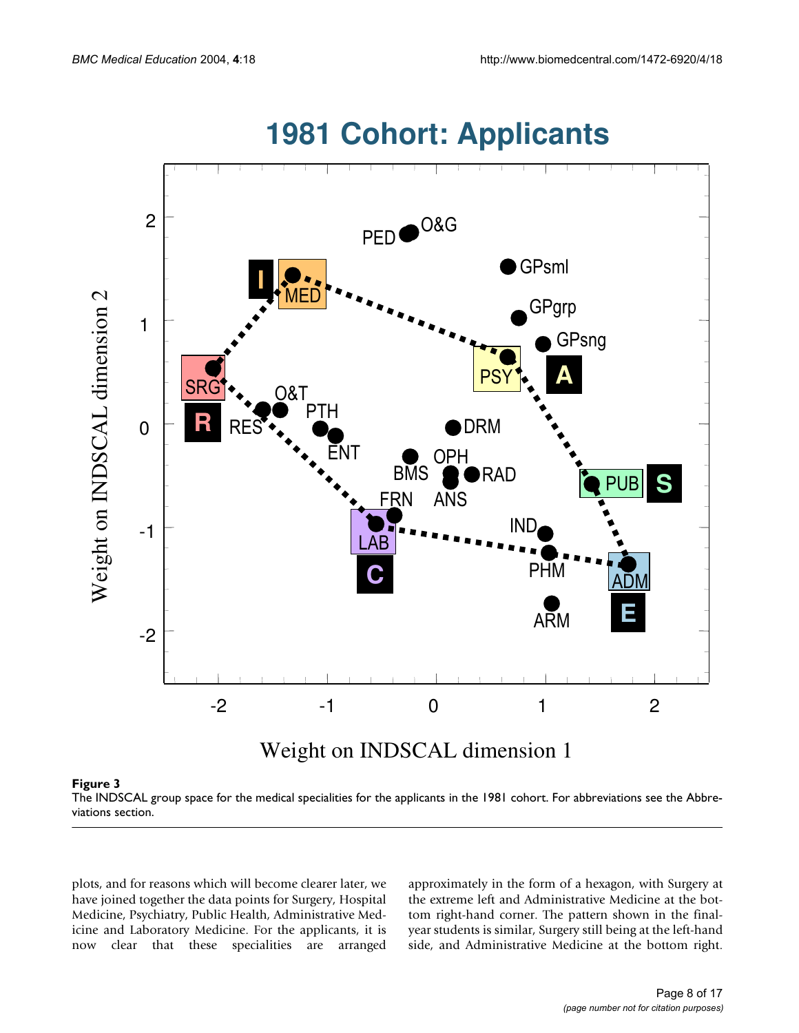

## **1981 Cohort: Applicants**

#### The INDSCAL group space for the medical specia **Figure 3** lities for the applicants in the 1981 cohort

The INDSCAL group space for the medical specialities for the applicants in the 1981 cohort. For abbreviations see the Abbreviations section.

plots, and for reasons which will become clearer later, we have joined together the data points for Surgery, Hospital Medicine, Psychiatry, Public Health, Administrative Medicine and Laboratory Medicine. For the applicants, it is now clear that these specialities are arranged approximately in the form of a hexagon, with Surgery at the extreme left and Administrative Medicine at the bottom right-hand corner. The pattern shown in the finalyear students is similar, Surgery still being at the left-hand side, and Administrative Medicine at the bottom right.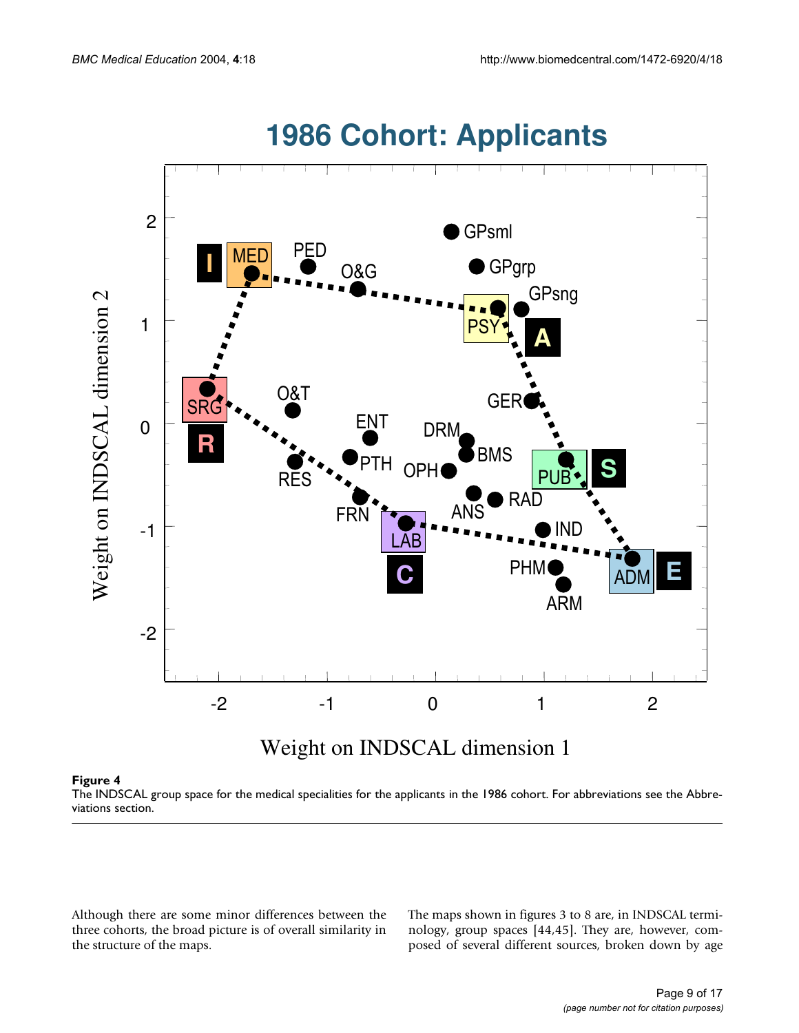

### **1986 Cohort: Applicants**

#### The INDSCAL group space for the medical specia **Figure 4** lities for the applicants in the 1986 cohort

The INDSCAL group space for the medical specialities for the applicants in the 1986 cohort. For abbreviations see the Abbreviations section.

Although there are some minor differences between the three cohorts, the broad picture is of overall similarity in the structure of the maps.

The maps shown in figures 3 to 8 are, in INDSCAL terminology, group spaces [44,45]. They are, however, composed of several different sources, broken down by age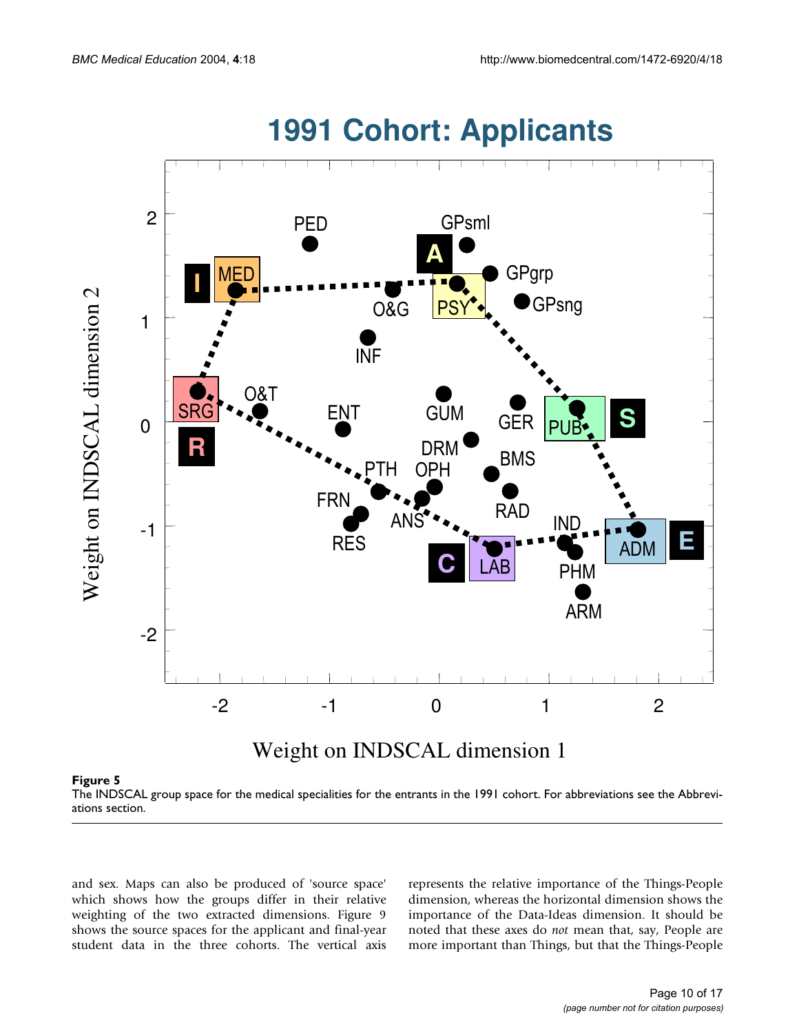

### **1991 Cohort: Applicants**

#### The INDSCAL group space for the medical spec **Figure 5** ialities for the entrants in the 1991 cohort

The INDSCAL group space for the medical specialities for the entrants in the 1991 cohort. For abbreviations see the Abbreviations section.

and sex. Maps can also be produced of 'source space' which shows how the groups differ in their relative weighting of the two extracted dimensions. Figure 9 shows the source spaces for the applicant and final-year student data in the three cohorts. The vertical axis represents the relative importance of the Things-People dimension, whereas the horizontal dimension shows the importance of the Data-Ideas dimension. It should be noted that these axes do *not* mean that, say, People are more important than Things, but that the Things-People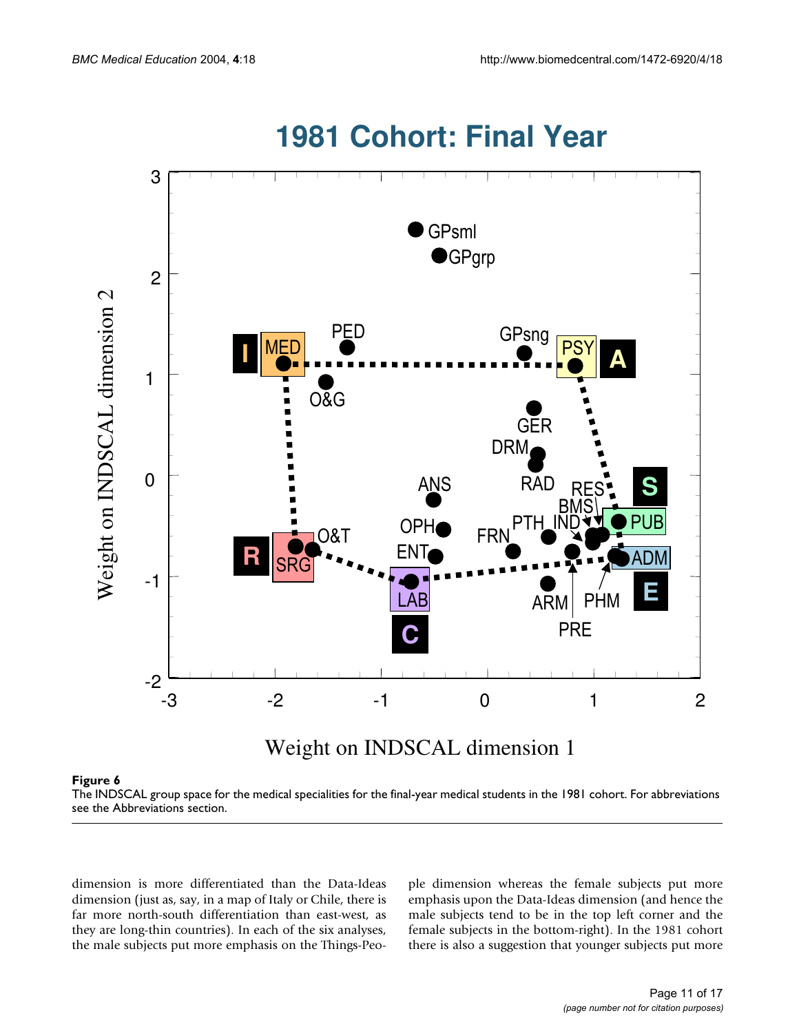

### **1981 Cohort: Final Year**

#### The INDSCAL group space for the medical specialities fo **Figure 6** r the final-year medical students in the 1981 cohort

The INDSCAL group space for the medical specialities for the final-year medical students in the 1981 cohort. For abbreviations see the Abbreviations section.

dimension is more differentiated than the Data-Ideas dimension (just as, say, in a map of Italy or Chile, there is far more north-south differentiation than east-west, as they are long-thin countries). In each of the six analyses, the male subjects put more emphasis on the Things-People dimension whereas the female subjects put more emphasis upon the Data-Ideas dimension (and hence the male subjects tend to be in the top left corner and the female subjects in the bottom-right). In the 1981 cohort there is also a suggestion that younger subjects put more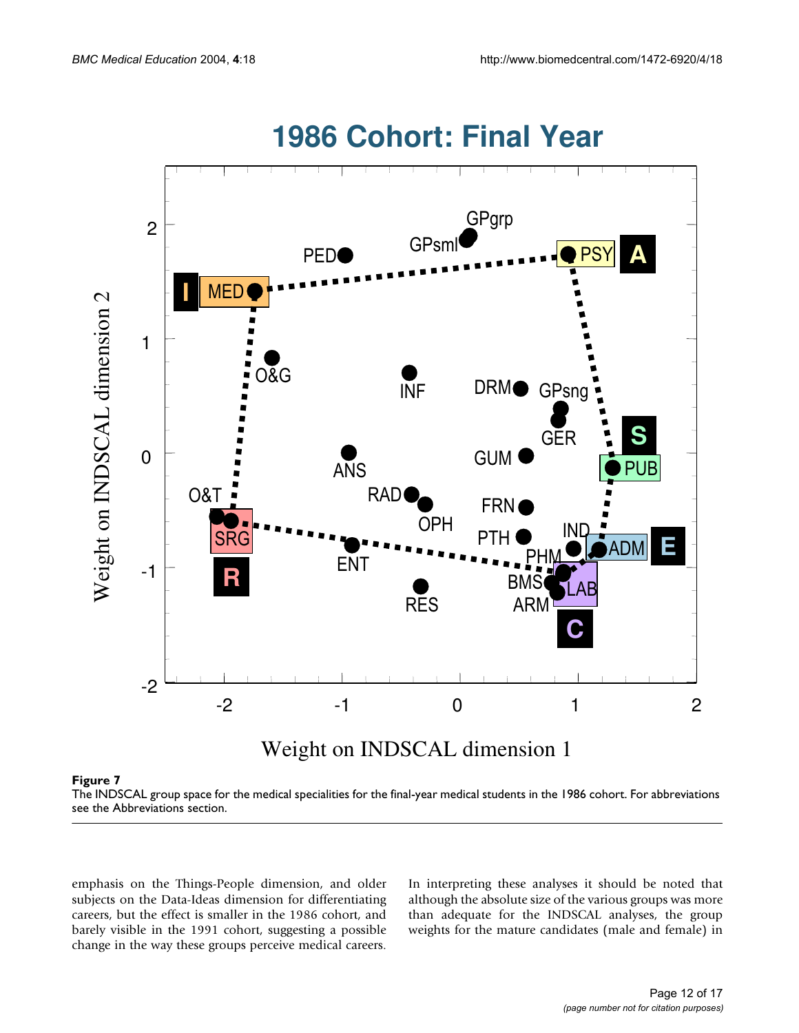

# **1986 Cohort: Final Year**

#### The INDSCAL group space for the medical specialities fo **Figure 7** r the final-year medical students in the 1986 cohort

The INDSCAL group space for the medical specialities for the final-year medical students in the 1986 cohort. For abbreviations see the Abbreviations section.

emphasis on the Things-People dimension, and older subjects on the Data-Ideas dimension for differentiating careers, but the effect is smaller in the 1986 cohort, and barely visible in the 1991 cohort, suggesting a possible change in the way these groups perceive medical careers.

In interpreting these analyses it should be noted that although the absolute size of the various groups was more than adequate for the INDSCAL analyses, the group weights for the mature candidates (male and female) in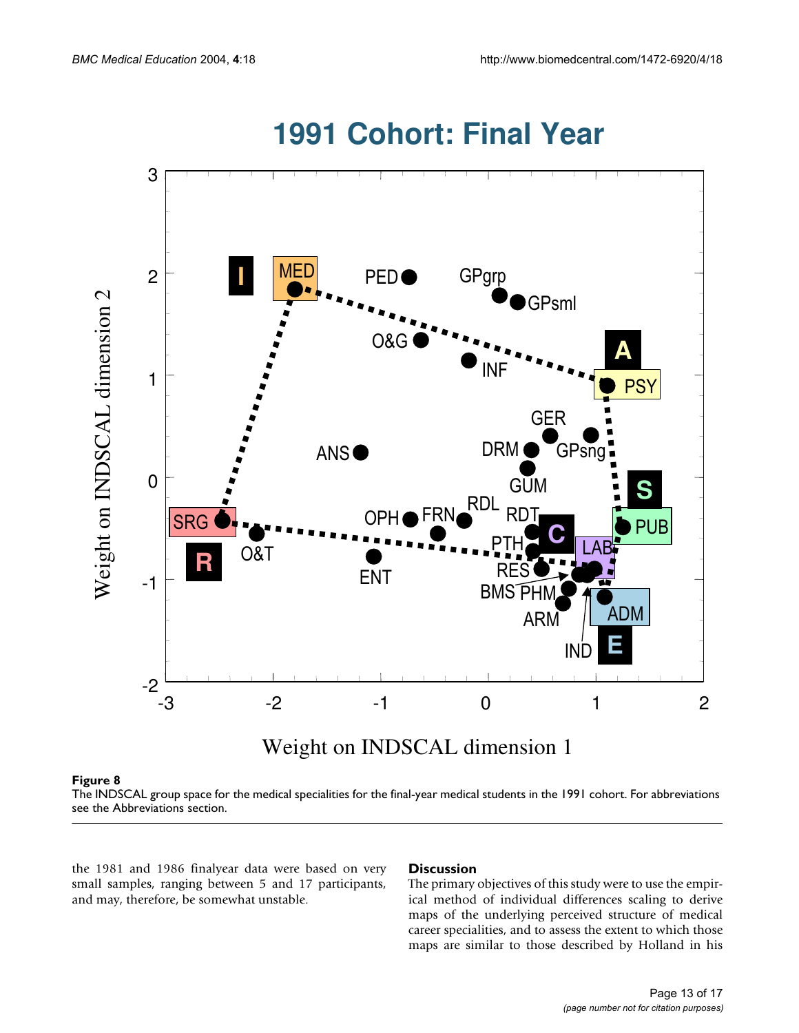

### **1991 Cohort: Final Year**

The INDSCAL group space for the medical specialities fo **Figure 8** r the final-year medical students in the 1991 cohort

The INDSCAL group space for the medical specialities for the final-year medical students in the 1991 cohort. For abbreviations see the Abbreviations section.

the 1981 and 1986 finalyear data were based on very small samples, ranging between 5 and 17 participants, and may, therefore, be somewhat unstable.

#### **Discussion**

The primary objectives of this study were to use the empirical method of individual differences scaling to derive maps of the underlying perceived structure of medical career specialities, and to assess the extent to which those maps are similar to those described by Holland in his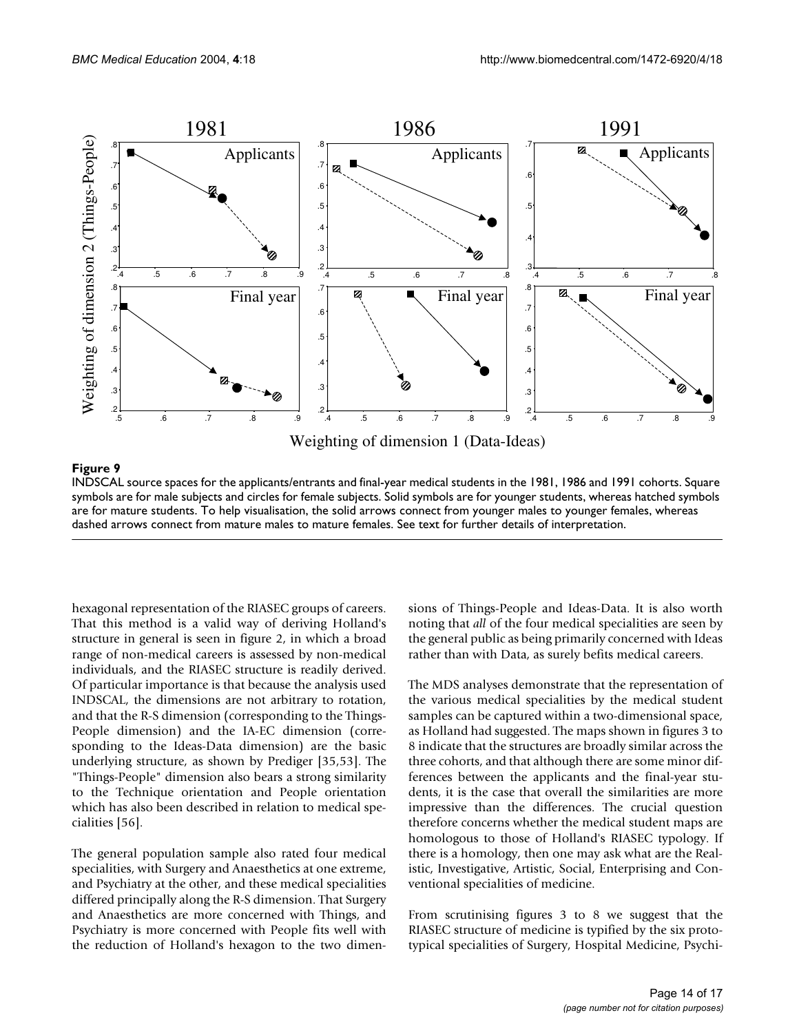

INDSCAL source spaces for the applicants/entrants and final-year medical students in the 1981, 1986 and 1991 cohorts. Square symbols are for male subjects and circles for female subjects. Solid symbols are for younger students, whereas hatched symbols are for mature students. To help visualisation, the solid arrows connect from younger males to younger females, whereas dashed arrows connect from mature males to mature females. See text for further details of interpretation.

hexagonal representation of the RIASEC groups of careers. That this method is a valid way of deriving Holland's structure in general is seen in figure [2,](#page-6-0) in which a broad range of non-medical careers is assessed by non-medical individuals, and the RIASEC structure is readily derived. Of particular importance is that because the analysis used INDSCAL, the dimensions are not arbitrary to rotation, and that the R-S dimension (corresponding to the Things-People dimension) and the IA-EC dimension (corresponding to the Ideas-Data dimension) are the basic underlying structure, as shown by Prediger [35,53]. The "Things-People" dimension also bears a strong similarity to the Technique orientation and People orientation which has also been described in relation to medical specialities [56].

The general population sample also rated four medical specialities, with Surgery and Anaesthetics at one extreme, and Psychiatry at the other, and these medical specialities differed principally along the R-S dimension. That Surgery and Anaesthetics are more concerned with Things, and Psychiatry is more concerned with People fits well with the reduction of Holland's hexagon to the two dimensions of Things-People and Ideas-Data. It is also worth noting that *all* of the four medical specialities are seen by the general public as being primarily concerned with Ideas rather than with Data, as surely befits medical careers.

The MDS analyses demonstrate that the representation of the various medical specialities by the medical student samples can be captured within a two-dimensional space, as Holland had suggested. The maps shown in figures 3 to 8 indicate that the structures are broadly similar across the three cohorts, and that although there are some minor differences between the applicants and the final-year students, it is the case that overall the similarities are more impressive than the differences. The crucial question therefore concerns whether the medical student maps are homologous to those of Holland's RIASEC typology. If there is a homology, then one may ask what are the Realistic, Investigative, Artistic, Social, Enterprising and Conventional specialities of medicine.

From scrutinising figures 3 to 8 we suggest that the RIASEC structure of medicine is typified by the six prototypical specialities of Surgery, Hospital Medicine, Psychi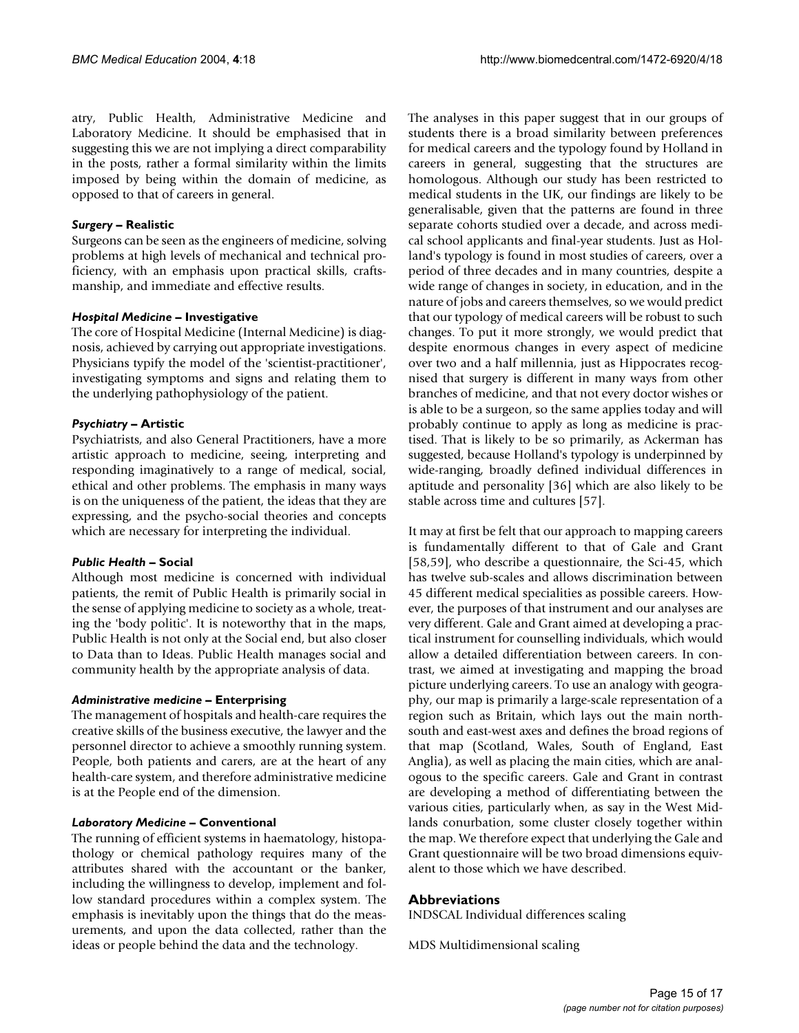atry, Public Health, Administrative Medicine and Laboratory Medicine. It should be emphasised that in suggesting this we are not implying a direct comparability in the posts, rather a formal similarity within the limits imposed by being within the domain of medicine, as opposed to that of careers in general.

#### *Surgery –* **Realistic**

Surgeons can be seen as the engineers of medicine, solving problems at high levels of mechanical and technical proficiency, with an emphasis upon practical skills, craftsmanship, and immediate and effective results.

#### *Hospital Medicine –* **Investigative**

The core of Hospital Medicine (Internal Medicine) is diagnosis, achieved by carrying out appropriate investigations. Physicians typify the model of the 'scientist-practitioner', investigating symptoms and signs and relating them to the underlying pathophysiology of the patient.

#### *Psychiatry –* **Artistic**

Psychiatrists, and also General Practitioners, have a more artistic approach to medicine, seeing, interpreting and responding imaginatively to a range of medical, social, ethical and other problems. The emphasis in many ways is on the uniqueness of the patient, the ideas that they are expressing, and the psycho-social theories and concepts which are necessary for interpreting the individual.

#### *Public Health –* **Social**

Although most medicine is concerned with individual patients, the remit of Public Health is primarily social in the sense of applying medicine to society as a whole, treating the 'body politic'. It is noteworthy that in the maps, Public Health is not only at the Social end, but also closer to Data than to Ideas. Public Health manages social and community health by the appropriate analysis of data.

#### *Administrative medicine –* **Enterprising**

The management of hospitals and health-care requires the creative skills of the business executive, the lawyer and the personnel director to achieve a smoothly running system. People, both patients and carers, are at the heart of any health-care system, and therefore administrative medicine is at the People end of the dimension.

#### *Laboratory Medicine –* **Conventional**

The running of efficient systems in haematology, histopathology or chemical pathology requires many of the attributes shared with the accountant or the banker, including the willingness to develop, implement and follow standard procedures within a complex system. The emphasis is inevitably upon the things that do the measurements, and upon the data collected, rather than the ideas or people behind the data and the technology.

The analyses in this paper suggest that in our groups of students there is a broad similarity between preferences for medical careers and the typology found by Holland in careers in general, suggesting that the structures are homologous. Although our study has been restricted to medical students in the UK, our findings are likely to be generalisable, given that the patterns are found in three separate cohorts studied over a decade, and across medical school applicants and final-year students. Just as Holland's typology is found in most studies of careers, over a period of three decades and in many countries, despite a wide range of changes in society, in education, and in the nature of jobs and careers themselves, so we would predict that our typology of medical careers will be robust to such changes. To put it more strongly, we would predict that despite enormous changes in every aspect of medicine over two and a half millennia, just as Hippocrates recognised that surgery is different in many ways from other branches of medicine, and that not every doctor wishes or is able to be a surgeon, so the same applies today and will probably continue to apply as long as medicine is practised. That is likely to be so primarily, as Ackerman has suggested, because Holland's typology is underpinned by wide-ranging, broadly defined individual differences in aptitude and personality [36] which are also likely to be stable across time and cultures [57].

It may at first be felt that our approach to mapping careers is fundamentally different to that of Gale and Grant [58,59], who describe a questionnaire, the Sci-45, which has twelve sub-scales and allows discrimination between 45 different medical specialities as possible careers. However, the purposes of that instrument and our analyses are very different. Gale and Grant aimed at developing a practical instrument for counselling individuals, which would allow a detailed differentiation between careers. In contrast, we aimed at investigating and mapping the broad picture underlying careers. To use an analogy with geography, our map is primarily a large-scale representation of a region such as Britain, which lays out the main northsouth and east-west axes and defines the broad regions of that map (Scotland, Wales, South of England, East Anglia), as well as placing the main cities, which are analogous to the specific careers. Gale and Grant in contrast are developing a method of differentiating between the various cities, particularly when, as say in the West Midlands conurbation, some cluster closely together within the map. We therefore expect that underlying the Gale and Grant questionnaire will be two broad dimensions equivalent to those which we have described.

#### **Abbreviations**

INDSCAL Individual differences scaling

MDS Multidimensional scaling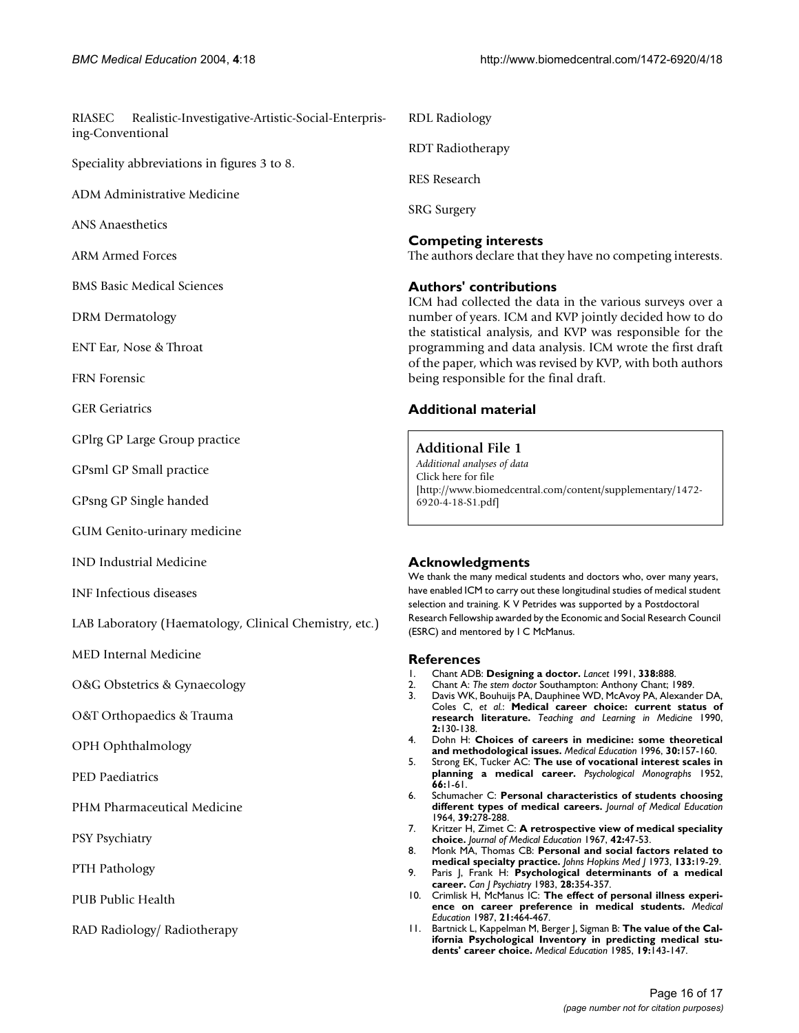RIASEC Realistic-Investigative-Artistic-Social-Enterprising-Conventional

Speciality abbreviations in figures 3 to 8.

ADM Administrative Medicine

ANS Anaesthetics

ARM Armed Forces

BMS Basic Medical Sciences

DRM Dermatology

ENT Ear, Nose & Throat

FRN Forensic

GER Geriatrics

GPlrg GP Large Group practice

GPsml GP Small practice

GPsng GP Single handed

GUM Genito-urinary medicine

IND Industrial Medicine

INF Infectious diseases

LAB Laboratory (Haematology, Clinical Chemistry, etc.)

MED Internal Medicine

O&G Obstetrics & Gynaecology

O&T Orthopaedics & Trauma

OPH Ophthalmology

PED Paediatrics

PHM Pharmaceutical Medicine

PSY Psychiatry

PTH Pathology

PUB Public Health

RAD Radiology/ Radiotherapy

RDL Radiology

RDT Radiotherapy

RES Research

SRG Surgery

#### **Competing interests**

The authors declare that they have no competing interests.

#### **Authors' contributions**

ICM had collected the data in the various surveys over a number of years. ICM and KVP jointly decided how to do the statistical analysis, and KVP was responsible for the programming and data analysis. ICM wrote the first draft of the paper, which was revised by KVP, with both authors being responsible for the final draft.

#### **Additional material**

#### **Additional File 1**

*Additional analyses of data* Click here for file [\[http://www.biomedcentral.com/content/supplementary/1472-](http://www.biomedcentral.com/content/supplementary/1472-6920-4-18-S1.pdf) 6920-4-18-S1.pdf]

#### **Acknowledgments**

We thank the many medical students and doctors who, over many years, have enabled ICM to carry out these longitudinal studies of medical student selection and training. K V Petrides was supported by a Postdoctoral Research Fellowship awarded by the Economic and Social Research Council (ESRC) and mentored by I C McManus.

#### **References**

- 1. Chant ADB: **[Designing a doctor.](http://www.ncbi.nlm.nih.gov/entrez/query.fcgi?cmd=Retrieve&db=PubMed&dopt=Abstract&list_uids=1681241)** *Lancet* 1991, **338:**888.
- 2. Chant A: *The stem doctor* Southampton: Anthony Chant; 1989.
- 3. Davis WK, Bouhuijs PA, Dauphinee WD, McAvoy PA, Alexander DA, Coles C, *et al.*: **Medical career choice: current status of research literature.** *Teaching and Learning in Medicine* 1990, **2:**130-138.
- 4. Dohn H: **[Choices of careers in medicine: some theoretical](http://www.ncbi.nlm.nih.gov/entrez/query.fcgi?cmd=Retrieve&db=PubMed&dopt=Abstract&list_uids=8949547) [and methodological issues.](http://www.ncbi.nlm.nih.gov/entrez/query.fcgi?cmd=Retrieve&db=PubMed&dopt=Abstract&list_uids=8949547)** *Medical Education* 1996, **30:**157-160.
- 5. Strong EK, Tucker AC: **The use of vocational interest scales in planning a medical career.** *Psychological Monographs* 1952, **66:**1-61.
- 6. Schumacher C: **[Personal characteristics of students choosing](http://www.ncbi.nlm.nih.gov/entrez/query.fcgi?cmd=Retrieve&db=PubMed&dopt=Abstract&list_uids=14130656) [different types of medical careers.](http://www.ncbi.nlm.nih.gov/entrez/query.fcgi?cmd=Retrieve&db=PubMed&dopt=Abstract&list_uids=14130656)** *Journal of Medical Education* 1964, **39:**278-288.
- 7. Kritzer H, Zimet C: **[A retrospective view of medical speciality](http://www.ncbi.nlm.nih.gov/entrez/query.fcgi?cmd=Retrieve&db=PubMed&dopt=Abstract&list_uids=6016634) [choice.](http://www.ncbi.nlm.nih.gov/entrez/query.fcgi?cmd=Retrieve&db=PubMed&dopt=Abstract&list_uids=6016634)** *Journal of Medical Education* 1967, **42:**47-53.
- 8. Monk MA, Thomas CB: **[Personal and social factors related to](http://www.ncbi.nlm.nih.gov/entrez/query.fcgi?cmd=Retrieve&db=PubMed&dopt=Abstract&list_uids=4718018) [medical specialty practice.](http://www.ncbi.nlm.nih.gov/entrez/query.fcgi?cmd=Retrieve&db=PubMed&dopt=Abstract&list_uids=4718018)** *Johns Hopkins Med J* 1973, **133:**19-29.
- 9. Paris J, Frank H: **[Psychological determinants of a medical](http://www.ncbi.nlm.nih.gov/entrez/query.fcgi?cmd=Retrieve&db=PubMed&dopt=Abstract&list_uids=6627191) [career.](http://www.ncbi.nlm.nih.gov/entrez/query.fcgi?cmd=Retrieve&db=PubMed&dopt=Abstract&list_uids=6627191)** *Can J Psychiatry* 1983, **28:**354-357.
- 10. Crimlisk H, McManus IC: **[The effect of personal illness experi](http://www.ncbi.nlm.nih.gov/entrez/query.fcgi?cmd=Retrieve&db=PubMed&dopt=Abstract&list_uids=3696018)[ence on career preference in medical students.](http://www.ncbi.nlm.nih.gov/entrez/query.fcgi?cmd=Retrieve&db=PubMed&dopt=Abstract&list_uids=3696018)** *Medical Education* 1987, **21:**464-467.
- 11. Bartnick L, Kappelman M, Berger J, Sigman B: **[The value of the Cal](http://www.ncbi.nlm.nih.gov/entrez/query.fcgi?cmd=Retrieve&db=PubMed&dopt=Abstract&list_uids=3982315)[ifornia Psychological Inventory in predicting medical stu](http://www.ncbi.nlm.nih.gov/entrez/query.fcgi?cmd=Retrieve&db=PubMed&dopt=Abstract&list_uids=3982315)[dents' career choice.](http://www.ncbi.nlm.nih.gov/entrez/query.fcgi?cmd=Retrieve&db=PubMed&dopt=Abstract&list_uids=3982315)** *Medical Education* 1985, **19:**143-147.